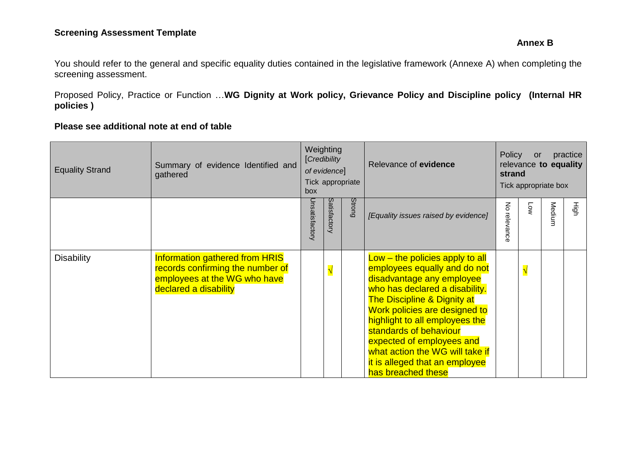# **Screening Assessment Template**

#### **Annex B**

You should refer to the general and specific equality duties contained in the legislative framework (Annexe A) when completing the screening assessment.

Proposed Policy, Practice or Function …**WG Dignity at Work policy, Grievance Policy and Discipline policy (Internal HR policies )**

## **Please see additional note at end of table**

| <b>Equality Strand</b> | Summary of evidence Identified and<br>gathered                                                                                     | Weighting<br>[Credibility<br>of evidence]<br>Tick appropriate<br>box |              |               | Relevance of evidence                                                                                                                                                                                                                                                                                                                                                                           |                                 | Policy<br>practice<br><b>or</b><br>relevance to equality<br>strand<br>Tick appropriate box |        |    |  |
|------------------------|------------------------------------------------------------------------------------------------------------------------------------|----------------------------------------------------------------------|--------------|---------------|-------------------------------------------------------------------------------------------------------------------------------------------------------------------------------------------------------------------------------------------------------------------------------------------------------------------------------------------------------------------------------------------------|---------------------------------|--------------------------------------------------------------------------------------------|--------|----|--|
|                        |                                                                                                                                    | Jnsatisfactory                                                       | Satisfactory | <b>Strong</b> | [Equality issues raised by evidence]                                                                                                                                                                                                                                                                                                                                                            | $\mathsf{S}% _{T}$<br>relevance | Γoν                                                                                        | Medium | Нğ |  |
| <b>Disability</b>      | <b>Information gathered from HRIS</b><br>records confirming the number of<br>employees at the WG who have<br>declared a disability |                                                                      | $\sqrt{}$    |               | $Low - the policies apply to all$<br>employees equally and do not<br>disadvantage any employee<br>who has declared a disability.<br><b>The Discipline &amp; Dignity at</b><br>Work policies are designed to<br>highlight to all employees the<br>standards of behaviour<br>expected of employees and<br>what action the WG will take if<br>it is alleged that an employee<br>has breached these |                                 | $\sqrt{}$                                                                                  |        |    |  |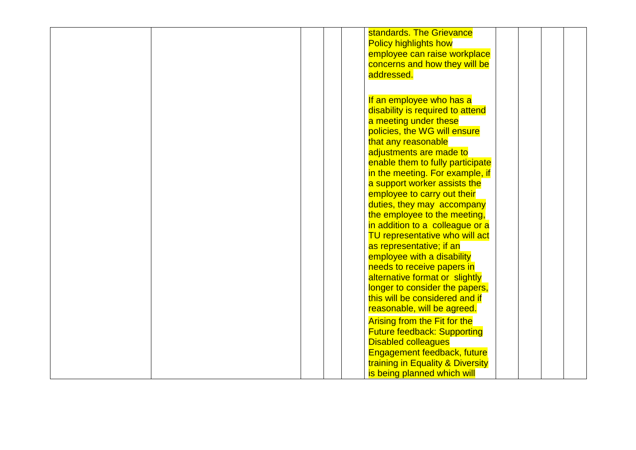|  | standards. The Grievance            |  |
|--|-------------------------------------|--|
|  |                                     |  |
|  | <b>Policy highlights how</b>        |  |
|  | employee can raise workplace        |  |
|  | concerns and how they will be       |  |
|  | addressed.                          |  |
|  |                                     |  |
|  |                                     |  |
|  | If an employee who has a            |  |
|  | disability is required to attend    |  |
|  | a meeting under these               |  |
|  | policies, the WG will ensure        |  |
|  | that any reasonable                 |  |
|  |                                     |  |
|  | adjustments are made to             |  |
|  | enable them to fully participate    |  |
|  | in the meeting. For example, if     |  |
|  | a support worker assists the        |  |
|  | employee to carry out their         |  |
|  | duties, they may accompany          |  |
|  | the employee to the meeting,        |  |
|  | in addition to a colleague or a     |  |
|  |                                     |  |
|  | TU representative who will act      |  |
|  | as representative; if an            |  |
|  | employee with a disability          |  |
|  | needs to receive papers in          |  |
|  | alternative format or slightly      |  |
|  | longer to consider the papers,      |  |
|  | this will be considered and if      |  |
|  | reasonable, will be agreed.         |  |
|  |                                     |  |
|  | <b>Arising from the Fit for the</b> |  |
|  | <b>Future feedback: Supporting</b>  |  |
|  | <b>Disabled colleagues</b>          |  |
|  | Engagement feedback, future         |  |
|  | training in Equality & Diversity    |  |
|  | is being planned which will         |  |
|  |                                     |  |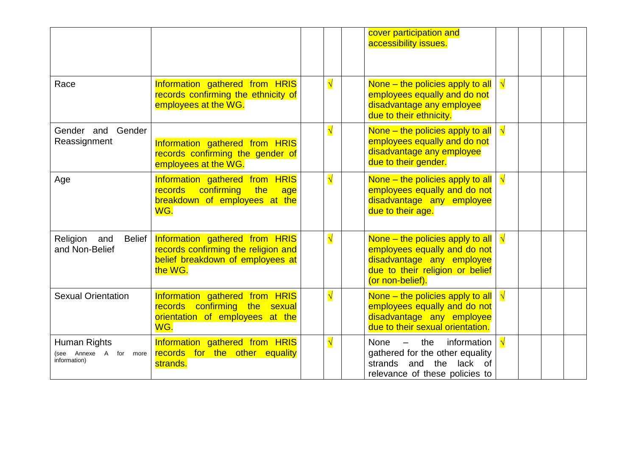|                                                        |                                                                                                                      |           | cover participation and<br>accessibility issues.                                                                                                     |           |  |  |
|--------------------------------------------------------|----------------------------------------------------------------------------------------------------------------------|-----------|------------------------------------------------------------------------------------------------------------------------------------------------------|-----------|--|--|
| Race                                                   | Information gathered from HRIS<br>records confirming the ethnicity of<br>employees at the WG.                        | $\sqrt{}$ | None – the policies apply to all<br>employees equally and do not<br>disadvantage any employee<br>due to their ethnicity.                             | $\sqrt{}$ |  |  |
| Gender<br>Gender and<br>Reassignment                   | Information gathered from HRIS<br>records confirming the gender of<br>employees at the WG.                           | $\sqrt{}$ | None – the policies apply to all<br>employees equally and do not<br>disadvantage any employee<br>due to their gender.                                | $\sqrt{}$ |  |  |
| Age                                                    | Information gathered from HRIS<br>records confirming<br><b>the</b><br>age<br>breakdown of employees at the<br>WG.    | $\sqrt{}$ | None - the policies apply to all<br>employees equally and do not<br>disadvantage any employee<br>due to their age.                                   | $\sqrt{}$ |  |  |
| Religion<br><b>Belief</b><br>and<br>and Non-Belief     | Information gathered from HRIS<br>records confirming the religion and<br>belief breakdown of employees at<br>the WG. | $\sqrt{}$ | None – the policies apply to all<br>employees equally and do not<br>disadvantage any employee<br>due to their religion or belief<br>(or non-belief). |           |  |  |
| <b>Sexual Orientation</b>                              | Information gathered from HRIS<br>records confirming the sexual<br>orientation of employees at the<br>WG.            | $\sqrt{}$ | None – the policies apply to all<br>employees equally and do not<br>disadvantage any employee<br>due to their sexual orientation.                    |           |  |  |
| Human Rights<br>(see Annexe A for more<br>information) | Information gathered from HRIS<br>records for the other equality<br>strands.                                         | $\sqrt{}$ | information<br>None<br>$-$ the<br>gathered for the other equality<br>strands and the<br>lack of<br>relevance of these policies to                    |           |  |  |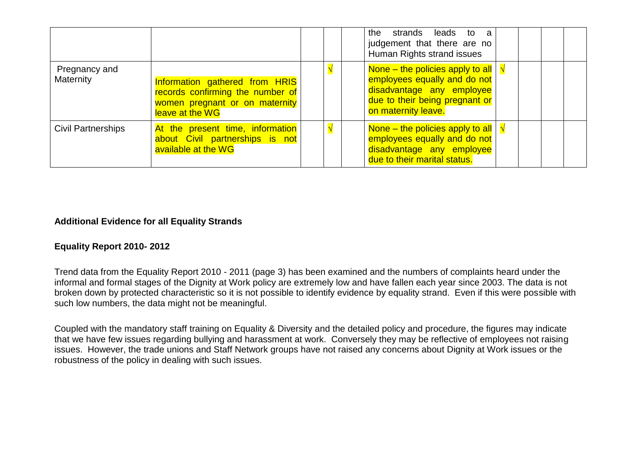|                            |                                                                                                                         |  | the strands leads to<br>a<br>judgement that there are no<br>Human Rights strand issues                                                                 |  |  |
|----------------------------|-------------------------------------------------------------------------------------------------------------------------|--|--------------------------------------------------------------------------------------------------------------------------------------------------------|--|--|
| Pregnancy and<br>Maternity | Information gathered from HRIS<br>records confirming the number of<br>women pregnant or on maternity<br>leave at the WG |  | None – the policies apply to all<br>employees equally and do not<br>disadvantage any employee<br>due to their being pregnant or<br>on maternity leave. |  |  |
| <b>Civil Partnerships</b>  | At the present time, information<br>about Civil partnerships is not<br>available at the WG                              |  | None – the policies apply to all<br>employees equally and do not<br>disadvantage any employee<br>due to their marital status.                          |  |  |

## **Additional Evidence for all Equality Strands**

#### **Equality Report 2010- 2012**

Trend data from the Equality Report 2010 - 2011 (page 3) has been examined and the numbers of complaints heard under the informal and formal stages of the Dignity at Work policy are extremely low and have fallen each year since 2003. The data is not broken down by protected characteristic so it is not possible to identify evidence by equality strand. Even if this were possible with such low numbers, the data might not be meaningful.

Coupled with the mandatory staff training on Equality & Diversity and the detailed policy and procedure, the figures may indicate that we have few issues regarding bullying and harassment at work. Conversely they may be reflective of employees not raising issues. However, the trade unions and Staff Network groups have not raised any concerns about Dignity at Work issues or the robustness of the policy in dealing with such issues.